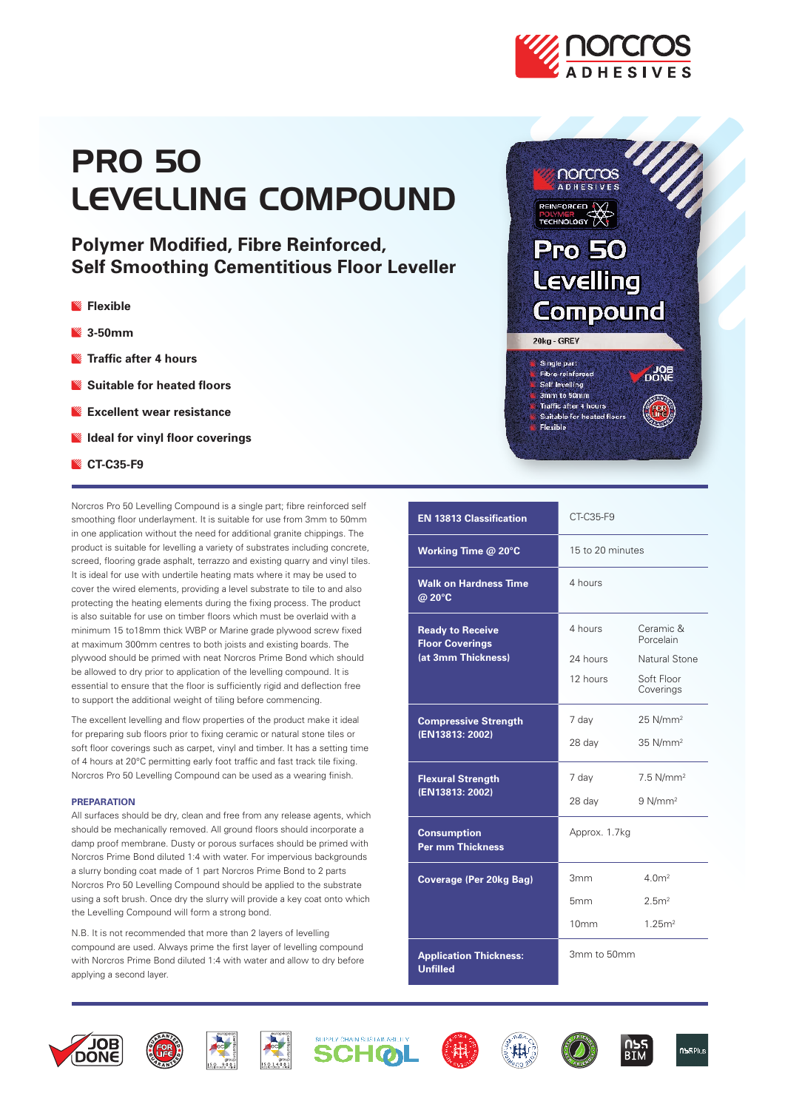

# PRO 50 LEVELLING COMPOUND

**Polymer Modified, Fibre Reinforced, Self Smoothing Cementitious Floor Leveller** 

- **Flexible**
- **3-50mm**
- **Traffic after 4 hours**
- **Suitable for heated floors**
- **Excellent wear resistance**
- **Ideal for vinyl floor coverings**
- **CT-C35-F9**

Norcros Pro 50 Levelling Compound is a single part; fibre reinforced self smoothing floor underlayment. It is suitable for use from 3mm to 50mm in one application without the need for additional granite chippings. The product is suitable for levelling a variety of substrates including concrete, screed, flooring grade asphalt, terrazzo and existing quarry and vinyl tiles. It is ideal for use with undertile heating mats where it may be used to cover the wired elements, providing a level substrate to tile to and also protecting the heating elements during the fixing process. The product is also suitable for use on timber floors which must be overlaid with a minimum 15 to18mm thick WBP or Marine grade plywood screw fixed at maximum 300mm centres to both joists and existing boards. The plywood should be primed with neat Norcros Prime Bond which should be allowed to dry prior to application of the levelling compound. It is essential to ensure that the floor is sufficiently rigid and deflection free to support the additional weight of tiling before commencing.

The excellent levelling and flow properties of the product make it ideal for preparing sub floors prior to fixing ceramic or natural stone tiles or soft floor coverings such as carpet, vinyl and timber. It has a setting time of 4 hours at 20°C permitting early foot traffic and fast track tile fixing. Norcros Pro 50 Levelling Compound can be used as a wearing finish.

## **PREPARATION**

All surfaces should be dry, clean and free from any release agents, which should be mechanically removed. All ground floors should incorporate a damp proof membrane. Dusty or porous surfaces should be primed with Norcros Prime Bond diluted 1:4 with water. For impervious backgrounds a slurry bonding coat made of 1 part Norcros Prime Bond to 2 parts Norcros Pro 50 Levelling Compound should be applied to the substrate using a soft brush. Once dry the slurry will provide a key coat onto which the Levelling Compound will form a strong bond.

N.B. It is not recommended that more than 2 layers of levelling compound are used. Always prime the first layer of levelling compound with Norcros Prime Bond diluted 1:4 with water and allow to dry before applying a second layer.



| <b>EN 13813 Classification</b>                                          | CT-C35-F9        |                         |
|-------------------------------------------------------------------------|------------------|-------------------------|
| Working Time @ 20°C                                                     | 15 to 20 minutes |                         |
| <b>Walk on Hardness Time</b><br>@ 20°C                                  | 4 hours          |                         |
| <b>Ready to Receive</b><br><b>Floor Coverings</b><br>(at 3mm Thickness) | 4 hours          | Ceramic &<br>Porcelain  |
|                                                                         | 24 hours         | Natural Stone           |
|                                                                         | 12 hours         | Soft Floor<br>Coverings |
| <b>Compressive Strength</b><br>(EN13813: 2002)                          | 7 day            | $25$ N/mm <sup>2</sup>  |
|                                                                         | 28 day           | $35$ N/mm <sup>2</sup>  |
| <b>Flexural Strength</b><br>(EN13813: 2002)                             | 7 day            | $7.5$ N/mm <sup>2</sup> |
|                                                                         | 28 day           | $9$ N/mm <sup>2</sup>   |
| <b>Consumption</b><br><b>Per mm Thickness</b>                           | Approx. 1.7kg    |                         |
| Coverage (Per 20kg Bag)                                                 | 3mm              | 4.0 <sup>m²</sup>       |
|                                                                         | 5mm              | 2.5m <sup>2</sup>       |
|                                                                         | 10 <sub>mm</sub> | 1.25 <sup>m²</sup>      |
| <b>Application Thickness:</b><br><b>Unfilled</b>                        | 3mm to 50mm      |                         |